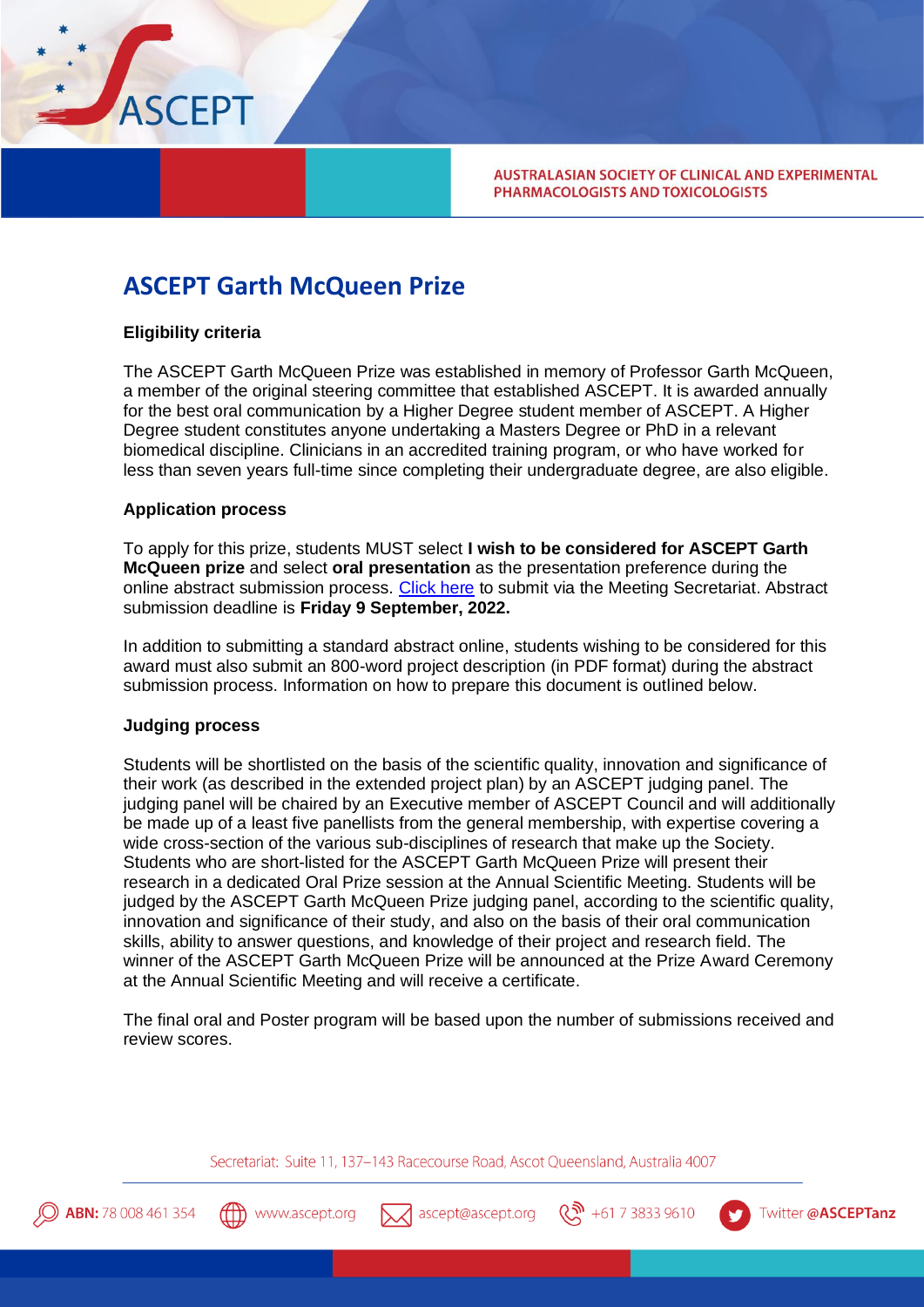

**AUSTRALASIAN SOCIETY OF CLINICAL AND EXPERIMENTAL** PHARMACOLOGISTS AND TOXICOLOGISTS

# **ASCEPT Garth McQueen Prize**

# **Eligibility criteria**

The ASCEPT Garth McQueen Prize was established in memory of Professor Garth McQueen, a member of the original steering committee that established ASCEPT. It is awarded annually for the best oral communication by a Higher Degree student member of ASCEPT. A Higher Degree student constitutes anyone undertaking a Masters Degree or PhD in a relevant biomedical discipline. Clinicians in an accredited training program, or who have worked for less than seven years full-time since completing their undergraduate degree, are also eligible.

### **Application process**

To apply for this prize, students MUST select **I wish to be considered for ASCEPT Garth McQueen prize** and select **oral presentation** as the presentation preference during the online abstract submission process. [Click here](https://www.asceptasm.com/2022-asm/awards-prizes-2022/) to submit via the Meeting Secretariat. Abstract submission deadline is **Friday 9 September, 2022.**

In addition to submitting a standard abstract online, students wishing to be considered for this award must also submit an 800-word project description (in PDF format) during the abstract submission process. Information on how to prepare this document is outlined below.

#### **Judging process**

Students will be shortlisted on the basis of the scientific quality, innovation and significance of their work (as described in the extended project plan) by an ASCEPT judging panel. The judging panel will be chaired by an Executive member of ASCEPT Council and will additionally be made up of a least five panellists from the general membership, with expertise covering a wide cross-section of the various sub-disciplines of research that make up the Society. Students who are short-listed for the ASCEPT Garth McQueen Prize will present their research in a dedicated Oral Prize session at the Annual Scientific Meeting. Students will be judged by the ASCEPT Garth McQueen Prize judging panel, according to the scientific quality, innovation and significance of their study, and also on the basis of their oral communication skills, ability to answer questions, and knowledge of their project and research field. The winner of the ASCEPT Garth McQueen Prize will be announced at the Prize Award Ceremony at the Annual Scientific Meeting and will receive a certificate.

The final oral and Poster program will be based upon the number of submissions received and review scores.

Secretariat: Suite 11, 137-143 Racecourse Road, Ascot Queensland, Australia 4007







 $\binom{10}{10}$  +61 7 3833 9610